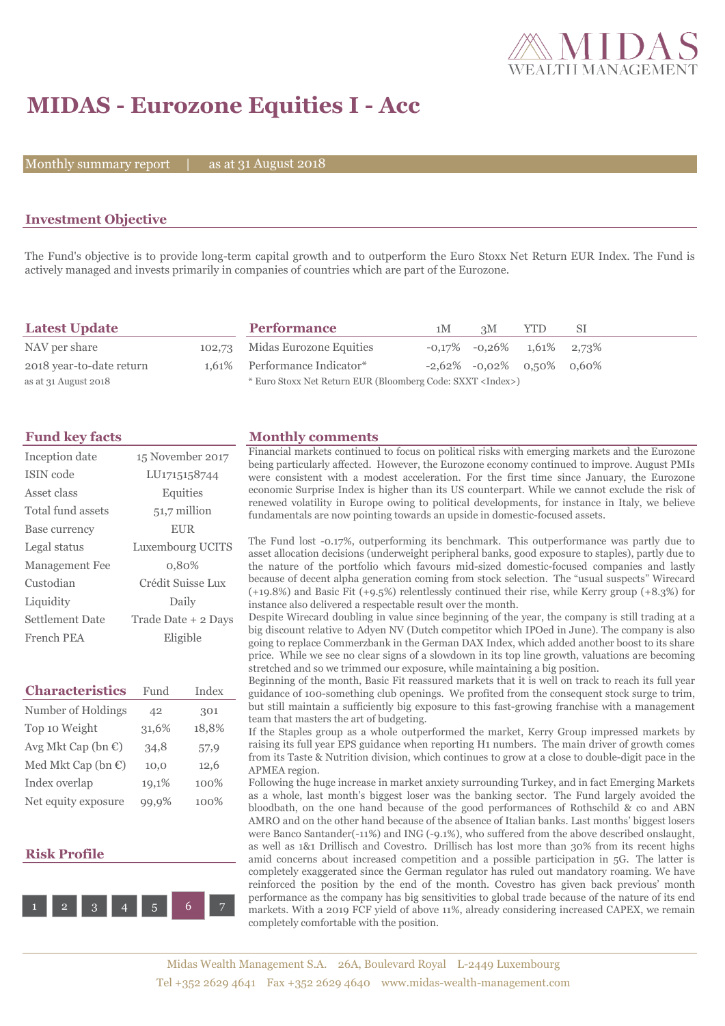

# **MIDAS - Eurozone Equities I - Acc**

Monthly summary report

31 August 2018

### **Investment Objective**

The Fund's objective is to provide long-term capital growth and to outperform the Euro Stoxx Net Return EUR Index. The Fund is actively managed and invests primarily in companies of countries which are part of the Eurozone.

| <b>Latest Update</b>     | <b>Performance</b>                                                 | 1M | 3M                                    | <b>YTD</b> | -SI |
|--------------------------|--------------------------------------------------------------------|----|---------------------------------------|------------|-----|
| NAV per share            | 102,73 Midas Eurozone Equities                                     |    | $-0.17\%$ $-0.26\%$ $1.61\%$ $2.73\%$ |            |     |
| 2018 year-to-date return | 1,61% Performance Indicator*                                       |    | $-2,62\%$ $-0,02\%$ 0.50% 0.60%       |            |     |
| as at 31 August 2018     | * Euro Stoxx Net Return EUR (Bloomberg Code: SXXT <index>)</index> |    |                                       |            |     |

| Inception date         | 15 November 2017    |
|------------------------|---------------------|
| ISIN code              | LU1715158744        |
| Asset class            | Equities            |
| Total fund assets      | 51,7 million        |
| Base currency          | <b>EUR</b>          |
| Legal status           | Luxembourg UCITS    |
| Management Fee         | 0,80%               |
| Custodian              | Crédit Suisse Lux   |
| Liquidity              | Daily               |
| <b>Settlement Date</b> | Trade Date + 2 Days |
| French PEA             | Eligible            |

| <b>Characteristics</b>         | Fund  | Index |
|--------------------------------|-------|-------|
| Number of Holdings             | 42    | 301   |
| Top 10 Weight                  | 31,6% | 18,8% |
| Avg Mkt Cap (bn $\epsilon$ )   | 34,8  | 57,9  |
| Med Mkt Cap (bn $\mathbb{C}$ ) | 10,0  | 12,6  |
| Index overlap                  | 19,1% | 100%  |
| Net equity exposure            | 99,9% | 100%  |

#### **Risk Profile**



### **Fund key facts Monthly comments**

Financial markets continued to focus on political risks with emerging markets and the Eurozone being particularly affected. However, the Eurozone economy continued to improve. August PMIs were consistent with a modest acceleration. For the first time since January, the Eurozone economic Surprise Index is higher than its US counterpart. While we cannot exclude the risk of renewed volatility in Europe owing to political developments, for instance in Italy, we believe fundamentals are now pointing towards an upside in domestic-focused assets.

The Fund lost -0.17%, outperforming its benchmark. This outperformance was partly due to asset allocation decisions (underweight peripheral banks, good exposure to staples), partly due to the nature of the portfolio which favours mid-sized domestic-focused companies and lastly because of decent alpha generation coming from stock selection. The "usual suspects" Wirecard (+19.8%) and Basic Fit (+9.5%) relentlessly continued their rise, while Kerry group (+8.3%) for instance also delivered a respectable result over the month.

Despite Wirecard doubling in value since beginning of the year, the company is still trading at a big discount relative to Adyen NV (Dutch competitor which IPOed in June). The company is also going to replace Commerzbank in the German DAX Index, which added another boost to its share price. While we see no clear signs of a slowdown in its top line growth, valuations are becoming stretched and so we trimmed our exposure, while maintaining a big position.

Beginning of the month, Basic Fit reassured markets that it is well on track to reach its full year guidance of 100-something club openings. We profited from the consequent stock surge to trim, but still maintain a sufficiently big exposure to this fast-growing franchise with a management team that masters the art of budgeting.

If the Staples group as a whole outperformed the market, Kerry Group impressed markets by raising its full year EPS guidance when reporting H1 numbers. The main driver of growth comes from its Taste & Nutrition division, which continues to grow at a close to double-digit pace in the APMEA region.

Following the huge increase in market anxiety surrounding Turkey, and in fact Emerging Markets as a whole, last month's biggest loser was the banking sector. The Fund largely avoided the bloodbath, on the one hand because of the good performances of Rothschild & co and ABN AMRO and on the other hand because of the absence of Italian banks. Last months' biggest losers were Banco Santander(-11%) and ING (-9.1%), who suffered from the above described onslaught, as well as 1&1 Drillisch and Covestro. Drillisch has lost more than 30% from its recent highs amid concerns about increased competition and a possible participation in 5G. The latter is completely exaggerated since the German regulator has ruled out mandatory roaming. We have reinforced the position by the end of the month. Covestro has given back previous' month performance as the company has big sensitivities to global trade because of the nature of its end markets. With a 2019 FCF yield of above 11%, already considering increased CAPEX, we remain completely comfortable with the position.